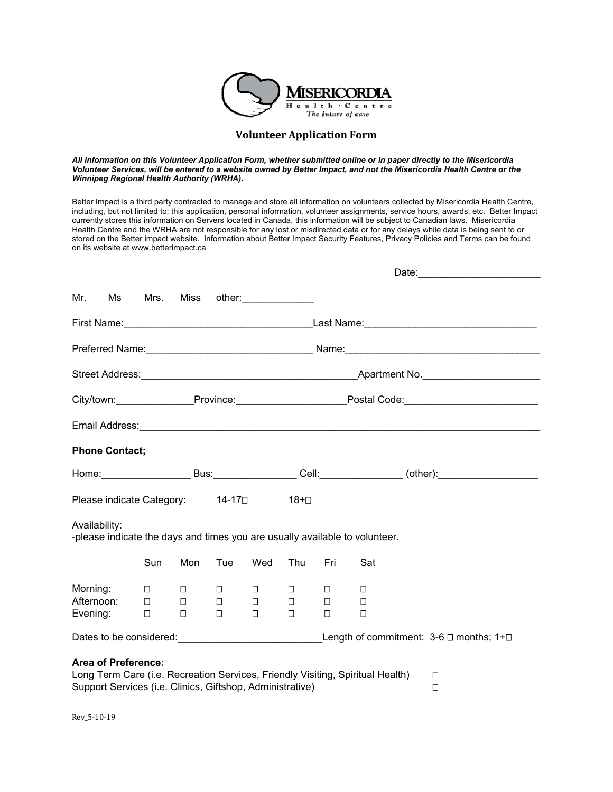

# **Volunteer Application Form**

*All information on this Volunteer Application Form, whether submitted online or in paper directly to the Misericordia Volunteer Services, will be entered to a website owned by Better Impact, and not the Misericordia Health Centre or the Winnipeg Regional Health Authority (WRHA).* 

Better Impact is a third party contracted to manage and store all information on volunteers collected by Misericordia Health Centre, including, but not limited to; this application, personal information, volunteer assignments, service hours, awards, etc. Better Impact currently stores this information on Servers located in Canada, this information will be subject to Canadian laws. Misericordia Health Centre and the WRHA are not responsible for any lost or misdirected data or for any delays while data is being sent to or stored on the Better impact website. Information about Better Impact Security Features, Privacy Policies and Terms can be found on its website at www.betterimpact.ca

|                                                                                                                                                                           |                            |                            |                                                                                 |                                                                                                    |                            |                            |                  | Date: Date:                                                                                                    |  |
|---------------------------------------------------------------------------------------------------------------------------------------------------------------------------|----------------------------|----------------------------|---------------------------------------------------------------------------------|----------------------------------------------------------------------------------------------------|----------------------------|----------------------------|------------------|----------------------------------------------------------------------------------------------------------------|--|
| Mr.<br>Ms                                                                                                                                                                 |                            |                            |                                                                                 | Mrs. Miss other:                                                                                   |                            |                            |                  |                                                                                                                |  |
|                                                                                                                                                                           |                            |                            |                                                                                 |                                                                                                    |                            |                            |                  |                                                                                                                |  |
|                                                                                                                                                                           |                            |                            |                                                                                 |                                                                                                    |                            |                            |                  |                                                                                                                |  |
|                                                                                                                                                                           |                            |                            |                                                                                 |                                                                                                    |                            |                            |                  |                                                                                                                |  |
|                                                                                                                                                                           |                            |                            |                                                                                 |                                                                                                    |                            |                            |                  | City/town:___________________Province:___________________________Postal Code:_______________________           |  |
|                                                                                                                                                                           |                            |                            |                                                                                 |                                                                                                    |                            |                            |                  |                                                                                                                |  |
| <b>Phone Contact;</b>                                                                                                                                                     |                            |                            |                                                                                 |                                                                                                    |                            |                            |                  |                                                                                                                |  |
|                                                                                                                                                                           |                            |                            |                                                                                 |                                                                                                    |                            |                            |                  | Home: ________________________Bus: ____________________Cell: __________________(other): ______________________ |  |
| Please indicate Category: 14-17□ 18+□                                                                                                                                     |                            |                            |                                                                                 |                                                                                                    |                            |                            |                  |                                                                                                                |  |
| Availability:<br>-please indicate the days and times you are usually available to volunteer.                                                                              |                            |                            |                                                                                 |                                                                                                    |                            |                            |                  |                                                                                                                |  |
|                                                                                                                                                                           | Sun                        | Mon                        | Tue                                                                             | Wed                                                                                                | Thu                        | Fri                        | Sat              |                                                                                                                |  |
| Morning:<br>Afternoon:<br>Evening:                                                                                                                                        | $\Box$<br>$\Box$<br>$\Box$ | $\Box$<br>$\Box$<br>$\Box$ | $\overline{\phantom{a}}$ . $\overline{\phantom{a}}$<br><b>Contract Contract</b> | $\Box$<br>$\overline{\phantom{a}}$ . $\overline{\phantom{a}}$ . $\overline{\phantom{a}}$<br>$\Box$ | $\Box$<br>$\Box$<br>$\Box$ | $\Box$<br>$\Box$<br>$\Box$ | □<br>$\Box$<br>П |                                                                                                                |  |
|                                                                                                                                                                           |                            |                            |                                                                                 |                                                                                                    |                            |                            |                  | Dates to be considered: Length of commitment: 3-6 □ months; 1+□                                                |  |
| <b>Area of Preference:</b><br>Long Term Care (i.e. Recreation Services, Friendly Visiting, Spiritual Health)<br>Support Services (i.e. Clinics, Giftshop, Administrative) |                            |                            |                                                                                 |                                                                                                    |                            |                            |                  | □<br>□                                                                                                         |  |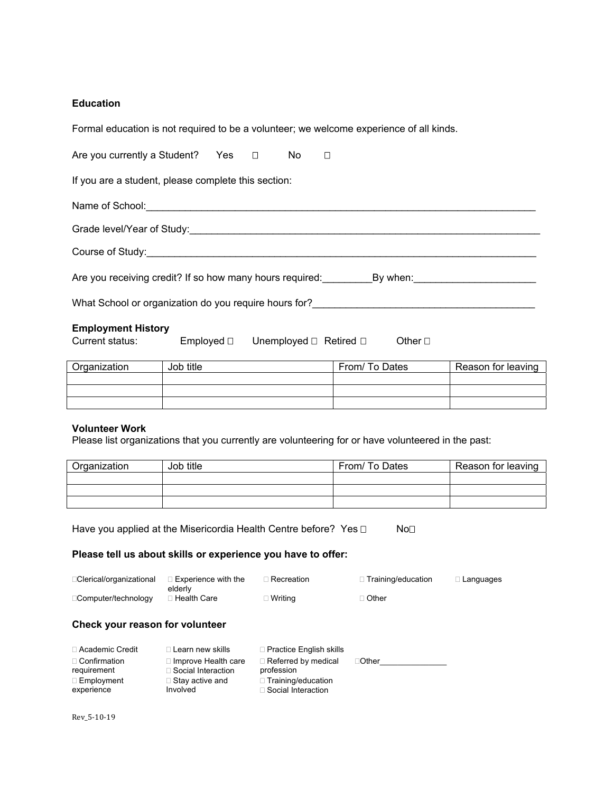# **Education**

| Formal education is not required to be a volunteer; we welcome experience of all kinds. |  |  |  |  |  |  |
|-----------------------------------------------------------------------------------------|--|--|--|--|--|--|
| Are you currently a Student? Yes □ No □                                                 |  |  |  |  |  |  |
| If you are a student, please complete this section:                                     |  |  |  |  |  |  |
|                                                                                         |  |  |  |  |  |  |
|                                                                                         |  |  |  |  |  |  |
|                                                                                         |  |  |  |  |  |  |
| Are you receiving credit? If so how many hours required: By when:                       |  |  |  |  |  |  |
| What School or organization do you require hours for?____________________________       |  |  |  |  |  |  |
| <b>Employment History</b>                                                               |  |  |  |  |  |  |

# Current status: Employed  $\square$  Unemployed  $\square$  Retired  $\square$  Other  $\square$

| Organization | Job title | From/ To Dates | Reason for leaving |
|--------------|-----------|----------------|--------------------|
|              |           |                |                    |
|              |           |                |                    |
|              |           |                |                    |

# **Volunteer Work**

Please list organizations that you currently are volunteering for or have volunteered in the past:

| Organization | Job title | From/ To Dates | Reason for leaving |
|--------------|-----------|----------------|--------------------|
|              |           |                |                    |
|              |           |                |                    |
|              |           |                |                    |

Have you applied at the Misericordia Health Centre before? Yes  $\Box$  No $\Box$ 

# **Please tell us about skills or experience you have to offer:**

| □ Clerical/organizational | $\sqsupset$ Experience with the $\sqsupset$<br>elderly | ∃ Recreation. | $\Box$ Training/education | □ Languages |
|---------------------------|--------------------------------------------------------|---------------|---------------------------|-------------|
| □Computer/technology      | ⊟Health Care                                           | ⊡ Writing     | $\Box$ Other              |             |

# **Check your reason for volunteer**

| □ Academic Credit                  | $\Box$ Learn new skills                                 | $\Box$ Practice English skills           |              |
|------------------------------------|---------------------------------------------------------|------------------------------------------|--------------|
| $\Box$ Confirmation<br>requirement | $\Box$ Improve Health care<br>$\Box$ Social Interaction | $\Box$ Referred by medical<br>profession | $\Box$ Other |
| $\Box$ Employment                  | $\Box$ Stay active and                                  | □ Training/education                     |              |
| experience                         | Involved                                                | □ Social Interaction                     |              |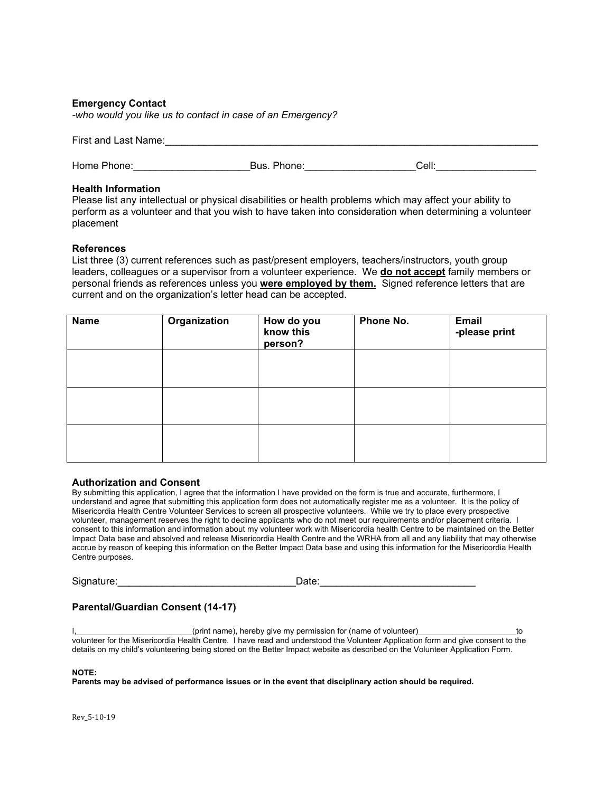### **Emergency Contact**

*-who would you like us to contact in case of an Emergency?*

| First and Last Name:<br>. |  |
|---------------------------|--|
|                           |  |

| Home Phone: | Bus. Phone: | Cell: |  |
|-------------|-------------|-------|--|
|             |             |       |  |

### **Health Information**

Please list any intellectual or physical disabilities or health problems which may affect your ability to perform as a volunteer and that you wish to have taken into consideration when determining a volunteer placement

#### **References**

List three (3) current references such as past/present employers, teachers/instructors, youth group leaders, colleagues or a supervisor from a volunteer experience. We **do not accept** family members or personal friends as references unless you **were employed by them.** Signed reference letters that are current and on the organization's letter head can be accepted.

| <b>Name</b> | Organization | How do you<br>know this<br>person? | Phone No. | <b>Email</b><br>-please print |
|-------------|--------------|------------------------------------|-----------|-------------------------------|
|             |              |                                    |           |                               |
|             |              |                                    |           |                               |
|             |              |                                    |           |                               |

#### **Authorization and Consent**

By submitting this application, I agree that the information I have provided on the form is true and accurate, furthermore, I understand and agree that submitting this application form does not automatically register me as a volunteer. It is the policy of Misericordia Health Centre Volunteer Services to screen all prospective volunteers. While we try to place every prospective volunteer, management reserves the right to decline applicants who do not meet our requirements and/or placement criteria. I consent to this information and information about my volunteer work with Misericordia health Centre to be maintained on the Better Impact Data base and absolved and release Misericordia Health Centre and the WRHA from all and any liability that may otherwise accrue by reason of keeping this information on the Better Impact Data base and using this information for the Misericordia Health Centre purposes.

Signature:\_\_\_\_\_\_\_\_\_\_\_\_\_\_\_\_\_\_\_\_\_\_\_\_\_\_\_\_\_\_\_\_Date:\_\_\_\_\_\_\_\_\_\_\_\_\_\_\_\_\_\_\_\_\_\_\_\_\_\_\_\_

### **Parental/Guardian Consent (14-17)**

(print name), hereby give my permission for (name of volunteer) example to to volunteer for the Misericordia Health Centre. I have read and understood the Volunteer Application form and give consent to the details on my child's volunteering being stored on the Better Impact website as described on the Volunteer Application Form.

#### **NOTE:**

**Parents may be advised of performance issues or in the event that disciplinary action should be required.**